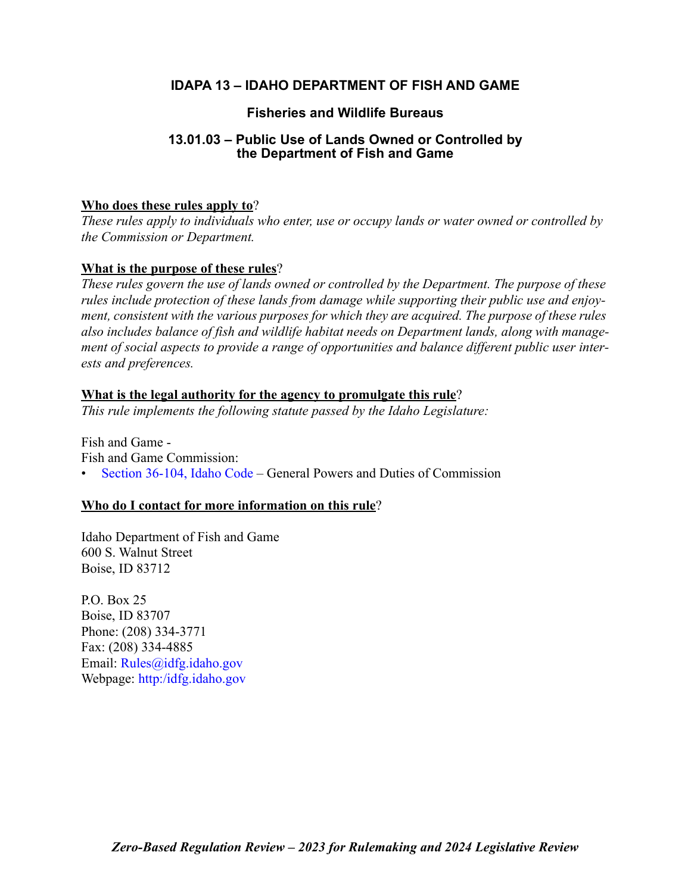# **IDAPA 13 – IDAHO DEPARTMENT OF FISH AND GAME**

# **Fisheries and Wildlife Bureaus**

# **13.01.03 – Public Use of Lands Owned or Controlled by the Department of Fish and Game**

# **Who does these rules apply to**?

*These rules apply to individuals who enter, use or occupy lands or water owned or controlled by the Commission or Department.* 

# **What is the purpose of these rules**?

*These rules govern the use of lands owned or controlled by the Department. The purpose of these rules include protection of these lands from damage while supporting their public use and enjoyment, consistent with the various purposes for which they are acquired. The purpose of these rules also includes balance of fish and wildlife habitat needs on Department lands, along with management of social aspects to provide a range of opportunities and balance different public user interests and preferences.*

## **What is the legal authority for the agency to promulgate this rule**?

*This rule implements the following statute passed by the Idaho Legislature:*

Fish and Game - Fish and Game Commission: • [Section 36-104, Idaho Code –](https://legislature.idaho.gov/statutesrules/idstat/Title36/T36CH1/SECT36-104/) General Powers and Duties of Commission

# **Who do I contact for more information on this rule**?

Idaho Department of Fish and Game 600 S. Walnut Street Boise, ID 83712

P.O. Box 25 Boise, ID 83707 Phone: (208) 334-3771 Fax: (208) 334-4885 Email: [Rules@idfg.idaho.gov](mailto:Rules@idfg.idaho.gov) Webpage: [http:/idfg.idaho.gov](https://idfg.idaho.gov)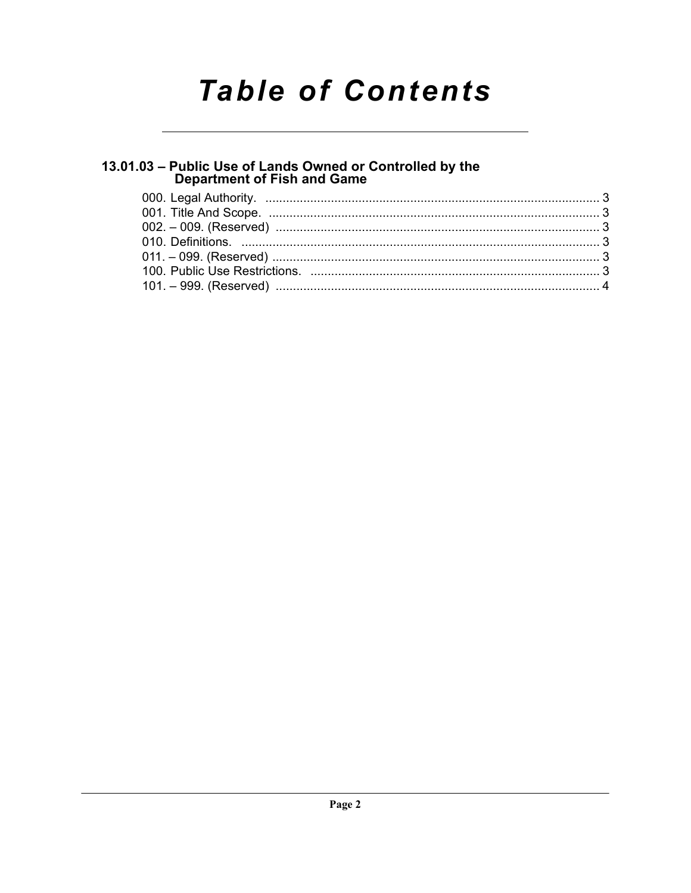# **Table of Contents**

# 13.01.03 - Public Use of Lands Owned or Controlled by the<br>Department of Fish and Game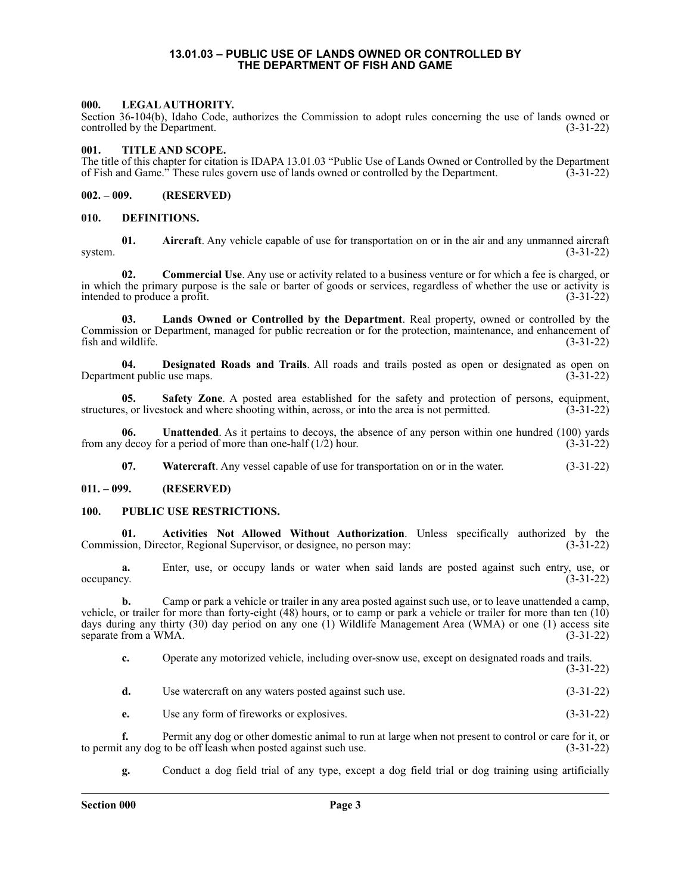#### **13.01.03 – PUBLIC USE OF LANDS OWNED OR CONTROLLED BY THE DEPARTMENT OF FISH AND GAME**

### <span id="page-2-1"></span><span id="page-2-0"></span>**000. LEGAL AUTHORITY.**

Section 36-104(b), Idaho Code, authorizes the Commission to adopt rules concerning the use of lands owned or controlled by the Department. (3-31-22)

#### <span id="page-2-2"></span>**001. TITLE AND SCOPE.**

The title of this chapter for citation is IDAPA 13.01.03 "Public Use of Lands Owned or Controlled by the Department of Fish and Game." These rules govern use of lands owned or controlled by the Department. (3-31-22) of Fish and Game." These rules govern use of lands owned or controlled by the Department.

#### <span id="page-2-3"></span>**002. – 009. (RESERVED)**

#### <span id="page-2-4"></span>**010. DEFINITIONS.**

**01. Aircraft**. Any vehicle capable of use for transportation on or in the air and any unmanned aircraft system. (3-31-22)

**02. Commercial Use**. Any use or activity related to a business venture or for which a fee is charged, or in which the primary purpose is the sale or barter of goods or services, regardless of whether the use or activity is intended to produce a profit. (3-31-22)

**03. Lands Owned or Controlled by the Department**. Real property, owned or controlled by the Commission or Department, managed for public recreation or for the protection, maintenance, and enhancement of  $fish$  and wildlife.  $(3-31-22)$ 

**04. Designated Roads and Trails**. All roads and trails posted as open or designated as open on Department public use maps.

**05. Safety Zone**. A posted area established for the safety and protection of persons, equipment, structures, or livestock and where shooting within, across, or into the area is not permitted. (3-31-22)

**06. Unattended**. As it pertains to decoys, the absence of any person within one hundred (100) yards from any decoy for a period of more than one-half  $(1/2)$  hour. (3-31-22)

**07. Watercraft**. Any vessel capable of use for transportation on or in the water. (3-31-22)

#### <span id="page-2-5"></span>**011. – 099. (RESERVED)**

#### <span id="page-2-6"></span>**100. PUBLIC USE RESTRICTIONS.**

**01. Activities Not Allowed Without Authorization**. Unless specifically authorized by the sion, Director, Regional Supervisor, or designee, no person may: (3-31-22) Commission, Director, Regional Supervisor, or designee, no person may:

**a.** Enter, use, or occupy lands or water when said lands are posted against such entry, use, or occupancy. (3-31-22) occupancy.  $(3-31-22)$ 

**b.** Camp or park a vehicle or trailer in any area posted against such use, or to leave unattended a camp, vehicle, or trailer for more than forty-eight (48) hours, or to camp or park a vehicle or trailer for more than ten (10) days during any thirty (30) day period on any one (1) Wildlife Management Area (WMA) or one (1) access site separate from a WMA.  $(3-31-22)$ 

**c.** Operate any motorized vehicle, including over-snow use, except on designated roads and trails. (3-31-22)

**d.** Use watercraft on any waters posted against such use. (3-31-22)

**e.** Use any form of fireworks or explosives. (3-31-22)

**f.** Permit any dog or other domestic animal to run at large when not present to control or care for it, or to permit any dog to be off leash when posted against such use. (3-31-22)

**g.** Conduct a dog field trial of any type, except a dog field trial or dog training using artificially